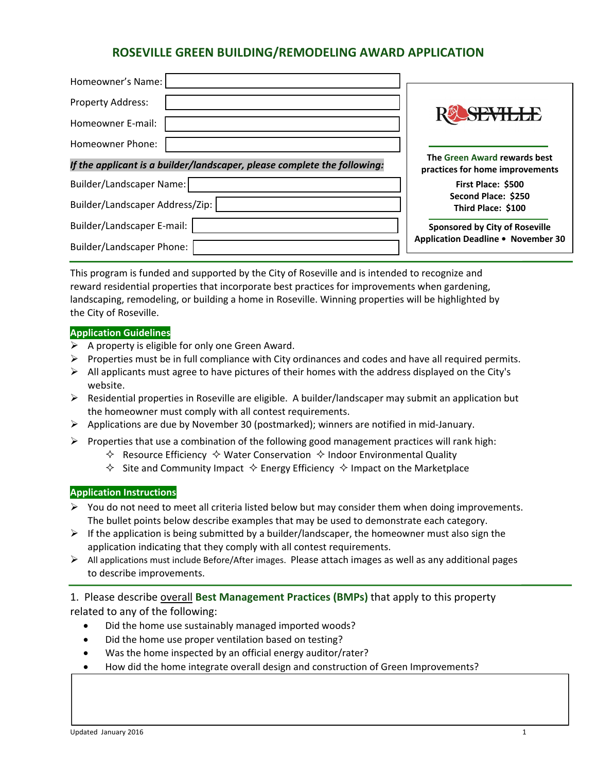# **ROSEVILLE GREEN BUILDING/REMODELING AWARD APPLICATION**

| Homeowner's Name:                                                        |                                                                 |
|--------------------------------------------------------------------------|-----------------------------------------------------------------|
|                                                                          |                                                                 |
| Property Address:                                                        |                                                                 |
| Homeowner E-mail:                                                        | <b>YAYIHAR</b>                                                  |
| Homeowner Phone:                                                         |                                                                 |
| If the applicant is a builder/landscaper, please complete the following: | The Green Award rewards best<br>practices for home improvements |
| Builder/Landscaper Name:                                                 | First Place: \$500                                              |
| Builder/Landscaper Address/Zip:                                          | Second Place: \$250<br>Third Place: \$100                       |
| Builder/Landscaper E-mail:                                               | <b>Sponsored by City of Roseville</b>                           |
| Builder/Landscaper Phone:                                                | Application Deadline . November 30                              |

This program is funded and supported by the City of Roseville and is intended to recognize and reward residential properties that incorporate best practices for improvements when gardening, landscaping, remodeling, or building a home in Roseville. Winning properties will be highlighted by the City of Roseville.

#### **Application Guidelines**

- $\triangleright$  A property is eligible for only one Green Award.
- $\triangleright$  Properties must be in full compliance with City ordinances and codes and have all required permits.
- $\triangleright$  All applicants must agree to have pictures of their homes with the address displayed on the City's website.
- Residential properties in Roseville are eligible. A builder/landscaper may submit an application but the homeowner must comply with all contest requirements.
- Applications are due by November 30 (postmarked); winners are notified in mid‐January.
- $\triangleright$  Properties that use a combination of the following good management practices will rank high:
	- $\Diamond$  Resource Efficiency  $\Diamond$  Water Conservation  $\Diamond$  Indoor Environmental Quality
	- $\Diamond$  Site and Community Impact  $\Diamond$  Energy Efficiency  $\Diamond$  Impact on the Marketplace

#### **Application Instructions**

- $\triangleright$  You do not need to meet all criteria listed below but may consider them when doing improvements. The bullet points below describe examples that may be used to demonstrate each category.
- $\triangleright$  If the application is being submitted by a builder/landscaper, the homeowner must also sign the application indicating that they comply with all contest requirements.
- $\triangleright$  All applications must include Before/After images. Please attach images as well as any additional pages to describe improvements.

1. Please describe overall **Best Management Practices (BMPs)** that apply to this property related to any of the following:

- Did the home use sustainably managed imported woods?
- Did the home use proper ventilation based on testing?
- Was the home inspected by an official energy auditor/rater?
- How did the home integrate overall design and construction of Green Improvements?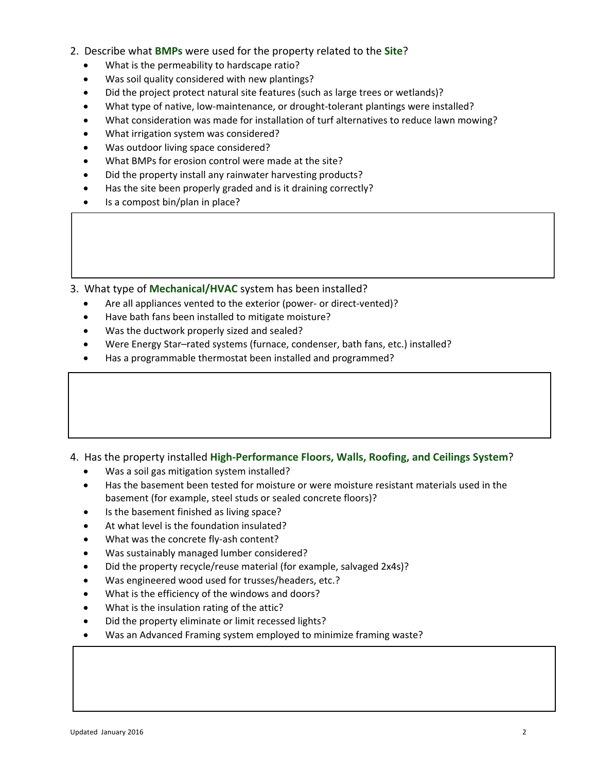- 2. Describe what **BMPs** were used for the property related to the **Site**?
	- What is the permeability to hardscape ratio?
	- Was soil quality considered with new plantings?
	- Did the project protect natural site features (such as large trees or wetlands)?
	- What type of native, low-maintenance, or drought-tolerant plantings were installed?
	- What consideration was made for installation of turf alternatives to reduce lawn mowing?
	- What irrigation system was considered?
	- Was outdoor living space considered?
	- What BMPs for erosion control were made at the site?
	- Did the property install any rainwater harvesting products?
	- Has the site been properly graded and is it draining correctly?
	- Is a compost bin/plan in place?

3. What type of **Mechanical/HVAC** system has been installed?

- Are all appliances vented to the exterior (power- or direct-vented)?
- Have bath fans been installed to mitigate moisture?
- Was the ductwork properly sized and sealed?
- Were Energy Star–rated systems (furnace, condenser, bath fans, etc.) installed?
- Has a programmable thermostat been installed and programmed?

4. Has the property installed **High‐Performance Floors, Walls, Roofing, and Ceilings System**?

- Was a soil gas mitigation system installed?
- Has the basement been tested for moisture or were moisture resistant materials used in the basement (for example, steel studs or sealed concrete floors)?
- Is the basement finished as living space?
- At what level is the foundation insulated?
- What was the concrete fly-ash content?
- Was sustainably managed lumber considered?
- Did the property recycle/reuse material (for example, salvaged 2x4s)?
- Was engineered wood used for trusses/headers, etc.?
- What is the efficiency of the windows and doors?
- What is the insulation rating of the attic?
- Did the property eliminate or limit recessed lights?
- Was an Advanced Framing system employed to minimize framing waste?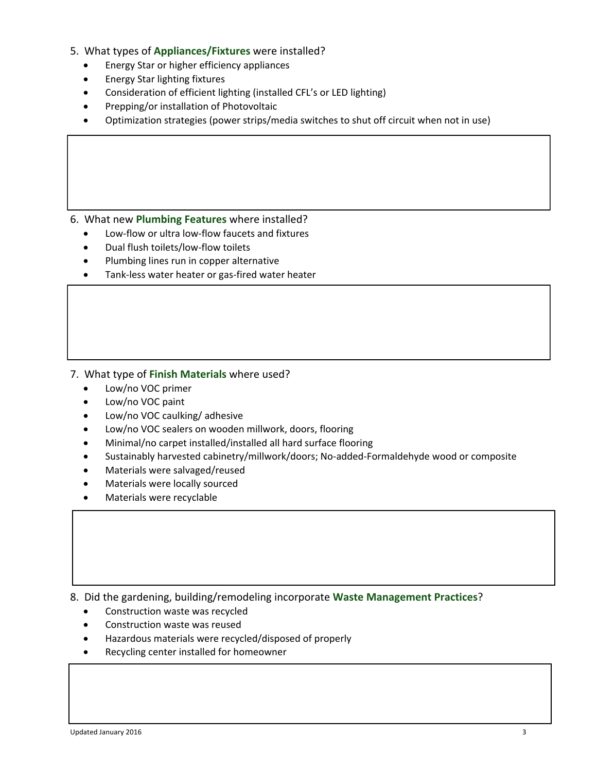- 5. What types of **Appliances/Fixtures** were installed?
	- Energy Star or higher efficiency appliances
	- **•** Energy Star lighting fixtures
	- Consideration of efficient lighting (installed CFL's or LED lighting)
	- Prepping/or installation of Photovoltaic
	- Optimization strategies (power strips/media switches to shut off circuit when not in use)

#### 6. What new **Plumbing Features** where installed?

- Low‐flow or ultra low‐flow faucets and fixtures
- Dual flush toilets/low‐flow toilets
- Plumbing lines run in copper alternative
- Tank-less water heater or gas-fired water heater

#### 7. What type of **Finish Materials** where used?

- Low/no VOC primer
- Low/no VOC paint
- Low/no VOC caulking/ adhesive
- Low/no VOC sealers on wooden millwork, doors, flooring
- Minimal/no carpet installed/installed all hard surface flooring
- Sustainably harvested cabinetry/millwork/doors; No‐added‐Formaldehyde wood or composite
- Materials were salvaged/reused
- Materials were locally sourced
- Materials were recyclable

8. Did the gardening, building/remodeling incorporate **Waste Management Practices**?

- Construction waste was recycled
- Construction waste was reused
- Hazardous materials were recycled/disposed of properly
- Recycling center installed for homeowner